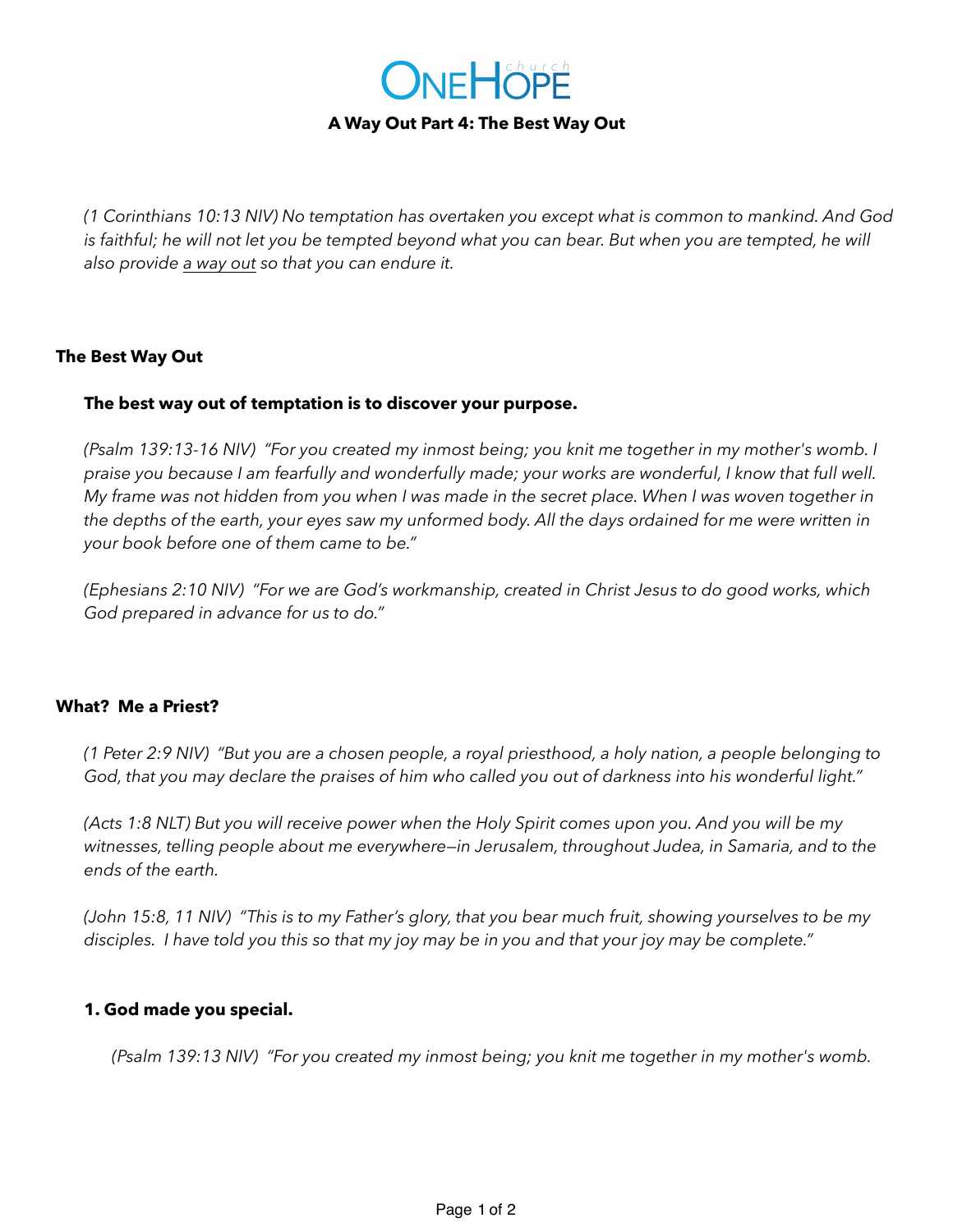

### **A Way Out Part 4: The Best Way Out**

*(1 Corinthians 10:13 NIV) No temptation has overtaken you except what is common to mankind. And God*  is faithful; he will not let you be tempted beyond what you can bear. But when you are tempted, he will *also provide a way out so that you can endure it.*

#### **The Best Way Out**

### **The best way out of temptation is to discover your purpose.**

*(Psalm 139:13-16 NIV) "For you created my inmost being; you knit me together in my mother's womb. I praise you because I am fearfully and wonderfully made; your works are wonderful, I know that full well. My frame was not hidden from you when I was made in the secret place. When I was woven together in the depths of the earth, your eyes saw my unformed body. All the days ordained for me were written in your book before one of them came to be."*

*(Ephesians 2:10 NIV) "For we are God's workmanship, created in Christ Jesus to do good works, which God prepared in advance for us to do."* 

#### **What? Me a Priest?**

*(1 Peter 2:9 NIV) "But you are a chosen people, a royal priesthood, a holy nation, a people belonging to God, that you may declare the praises of him who called you out of darkness into his wonderful light."*

*(Acts 1:8 NLT) But you will receive power when the Holy Spirit comes upon you. And you will be my witnesses, telling people about me everywhere—in Jerusalem, throughout Judea, in Samaria, and to the ends of the earth.*

*(John 15:8, 11 NIV) "This is to my Father's glory, that you bear much fruit, showing yourselves to be my disciples. I have told you this so that my joy may be in you and that your joy may be complete."* 

#### **1. God made you special.**

*(Psalm 139:13 NIV) "For you created my inmost being; you knit me together in my mother's womb.*